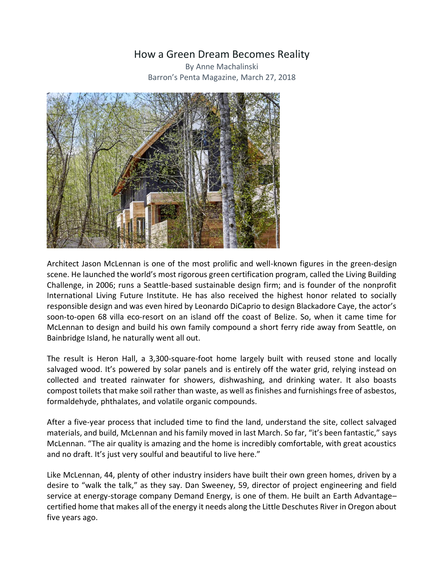## How a Green Dream Becomes Reality

By Anne Machalinski Barron's Penta Magazine, March 27, 2018



Architect Jason McLennan is one of the most prolific and well-known figures in the green-design scene. He launched the world's most rigorous green certification program, called the Living Building Challenge, in 2006; runs a Seattle-based sustainable design firm; and is founder of the nonprofit International Living Future Institute. He has also received the highest honor related to socially responsible design and was even hired by Leonardo DiCaprio to design Blackadore Caye, the actor's soon-to-open 68 villa eco-resort on an island off the coast of Belize. So, when it came time for McLennan to design and build his own family compound a short ferry ride away from Seattle, on Bainbridge Island, he naturally went all out.

The result is Heron Hall, a 3,300-square-foot home largely built with reused stone and locally salvaged wood. It's powered by solar panels and is entirely off the water grid, relying instead on collected and treated rainwater for showers, dishwashing, and drinking water. It also boasts compost toilets that make soil rather than waste, as well as finishes and furnishings free of asbestos, formaldehyde, phthalates, and volatile organic compounds.

After a five-year process that included time to find the land, understand the site, collect salvaged materials, and build, McLennan and his family moved in last March. So far, "it's been fantastic," says McLennan. "The air quality is amazing and the home is incredibly comfortable, with great acoustics and no draft. It's just very soulful and beautiful to live here."

Like McLennan, 44, plenty of other industry insiders have built their own green homes, driven by a desire to "walk the talk," as they say. Dan Sweeney, 59, director of project engineering and field service at energy-storage company Demand Energy, is one of them. He built an Earth Advantage– certified home that makes all of the energy it needs along the Little Deschutes River in Oregon about five years ago.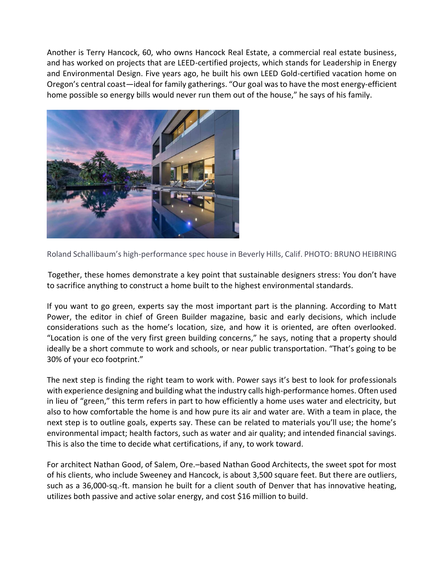Another is Terry Hancock, 60, who owns Hancock Real Estate, a commercial real estate business, and has worked on projects that are LEED-certified projects, which stands for Leadership in Energy and Environmental Design. Five years ago, he built his own LEED Gold-certified vacation home on Oregon's central coast—ideal for family gatherings. "Our goal was to have the most energy-efficient home possible so energy bills would never run them out of the house," he says of his family.



Roland Schallibaum's high-performance spec house in Beverly Hills, Calif. PHOTO: BRUNO HEIBRING

Together, these homes demonstrate a key point that sustainable designers stress: You don't have to sacrifice anything to construct a home built to the highest environmental standards.

If you want to go green, experts say the most important part is the planning. According to Matt Power, the editor in chief of Green Builder magazine, basic and early decisions, which include considerations such as the home's location, size, and how it is oriented, are often overlooked. "Location is one of the very first green building concerns," he says, noting that a property should ideally be a short commute to work and schools, or near public transportation. "That's going to be 30% of your eco footprint."

The next step is finding the right team to work with. Power says it's best to look for professionals with experience designing and building what the industry calls high-performance homes. Often used in lieu of "green," this term refers in part to how efficiently a home uses water and electricity, but also to how comfortable the home is and how pure its air and water are. With a team in place, the next step is to outline goals, experts say. These can be related to materials you'll use; the home's environmental impact; health factors, such as water and air quality; and intended financial savings. This is also the time to decide what certifications, if any, to work toward.

For architect Nathan Good, of Salem, Ore.–based Nathan Good Architects, the sweet spot for most of his clients, who include Sweeney and Hancock, is about 3,500 square feet. But there are outliers, such as a 36,000-sq.-ft. mansion he built for a client south of Denver that has innovative heating, utilizes both passive and active solar energy, and cost \$16 million to build.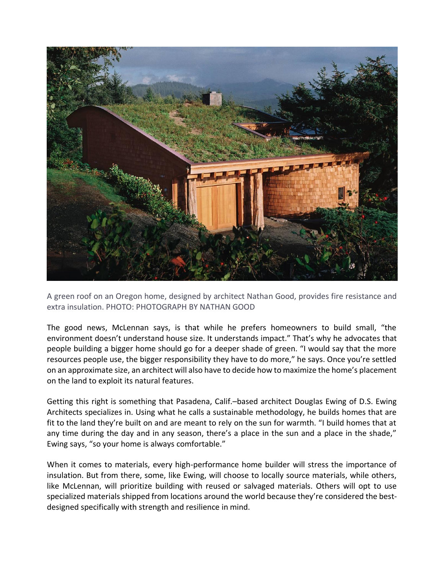

A green roof on an Oregon home, designed by architect Nathan Good, provides fire resistance and extra insulation. PHOTO: PHOTOGRAPH BY NATHAN GOOD

The good news, McLennan says, is that while he prefers homeowners to build small, "the environment doesn't understand house size. It understands impact." That's why he advocates that people building a bigger home should go for a deeper shade of green. "I would say that the more resources people use, the bigger responsibility they have to do more," he says. Once you're settled on an approximate size, an architect will also have to decide how to maximize the home's placement on the land to exploit its natural features.

Getting this right is something that Pasadena, Calif.–based architect Douglas Ewing of D.S. Ewing Architects specializes in. Using what he calls a sustainable methodology, he builds homes that are fit to the land they're built on and are meant to rely on the sun for warmth. "I build homes that at any time during the day and in any season, there's a place in the sun and a place in the shade," Ewing says, "so your home is always comfortable."

When it comes to materials, every high-performance home builder will stress the importance of insulation. But from there, some, like Ewing, will choose to locally source materials, while others, like McLennan, will prioritize building with reused or salvaged materials. Others will opt to use specialized materials shipped from locations around the world because they're considered the bestdesigned specifically with strength and resilience in mind.